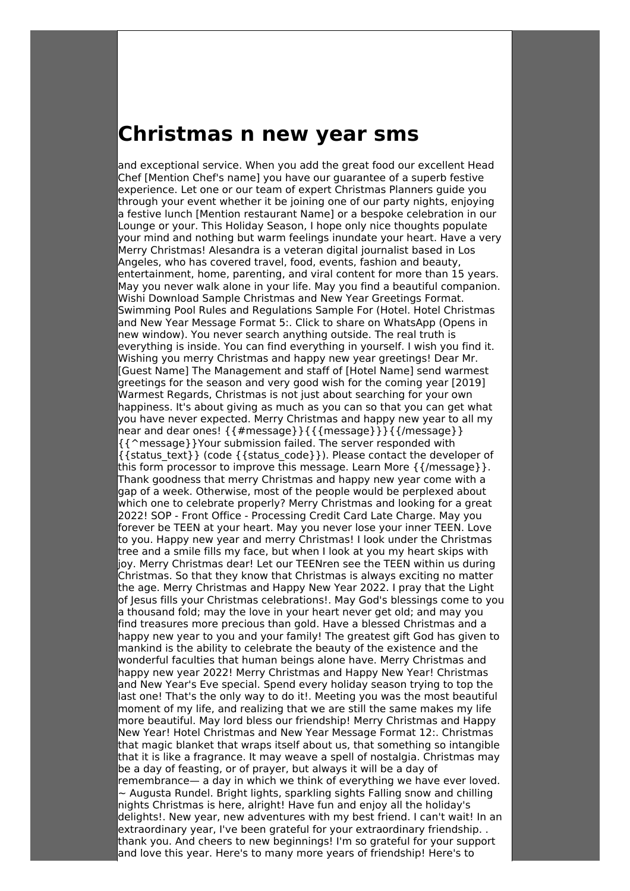## **Christmas n new year sms**

and exceptional service. When you add the great food our excellent Head Chef [Mention Chef's name] you have our guarantee of a superb festive experience. Let one or our team of expert Christmas Planners guide you through your event whether it be joining one of our party nights, enjoying a festive lunch [Mention restaurant Name] or a bespoke celebration in our Lounge or your. This Holiday Season, I hope only nice thoughts populate your mind and nothing but warm feelings inundate your heart. Have a very Merry Christmas! Alesandra is a veteran digital journalist based in Los Angeles, who has covered travel, food, events, fashion and beauty, entertainment, home, parenting, and viral content for more than 15 years. May you never walk alone in your life. May you find a beautiful companion. Wishi Download Sample Christmas and New Year Greetings Format. Swimming Pool Rules and Regulations Sample For (Hotel. Hotel Christmas and New Year Message Format 5:. Click to share on WhatsApp (Opens in new window). You never search anything outside. The real truth is everything is inside. You can find everything in yourself. I wish you find it. Wishing you merry Christmas and happy new year greetings! Dear Mr. [Guest Name] The Management and staff of [Hotel Name] send warmest greetings for the season and very good wish for the coming year [2019] Warmest Regards, Christmas is not just about searching for your own happiness. It's about giving as much as you can so that you can get what you have never expected. Merry Christmas and happy new year to all my near and dear ones! {{#message}}{{{message}}}{{/message}} {{^message}}Your submission failed. The server responded with  $\{ {\text{status text}} \}$  (code  $\{ {\text{status code}} \}$ ). Please contact the developer of this form processor to improve this message. Learn More {{/message}}. Thank goodness that merry Christmas and happy new year come with a gap of a week. Otherwise, most of the people would be perplexed about which one to celebrate properly? Merry Christmas and looking for a great 2022! SOP - Front Office - Processing Credit Card Late Charge. May you forever be TEEN at your heart. May you never lose your inner TEEN. Love to you. Happy new year and merry Christmas! I look under the Christmas tree and a smile fills my face, but when I look at you my heart skips with joy. Merry Christmas dear! Let our TEENren see the TEEN within us during Christmas. So that they know that Christmas is always exciting no matter the age. Merry Christmas and Happy New Year 2022. I pray that the Light of Jesus fills your Christmas celebrations!. May God's blessings come to you a thousand fold; may the love in your heart never get old; and may you find treasures more precious than gold. Have a blessed Christmas and a happy new year to you and your family! The greatest gift God has given to mankind is the ability to celebrate the beauty of the existence and the wonderful faculties that human beings alone have. Merry Christmas and happy new year 2022! Merry Christmas and Happy New Year! Christmas and New Year's Eve special. Spend every holiday season trying to top the last one! That's the only way to do it!. Meeting you was the most beautiful moment of my life, and realizing that we are still the same makes my life more beautiful. May lord bless our friendship! Merry Christmas and Happy New Year! Hotel Christmas and New Year Message Format 12:. Christmas that magic blanket that wraps itself about us, that something so intangible that it is like a fragrance. It may weave a spell of nostalgia. Christmas may be a day of feasting, or of prayer, but always it will be a day of remembrance— a day in which we think of everything we have ever loved. ~ Augusta Rundel. Bright lights, sparkling sights Falling snow and chilling nights Christmas is here, alright! Have fun and enjoy all the holiday's delights!. New year, new adventures with my best friend. I can't wait! In an extraordinary year, I've been grateful for your extraordinary friendship. . thank you. And cheers to new beginnings! I'm so grateful for your support and love this year. Here's to many more years of friendship! Here's to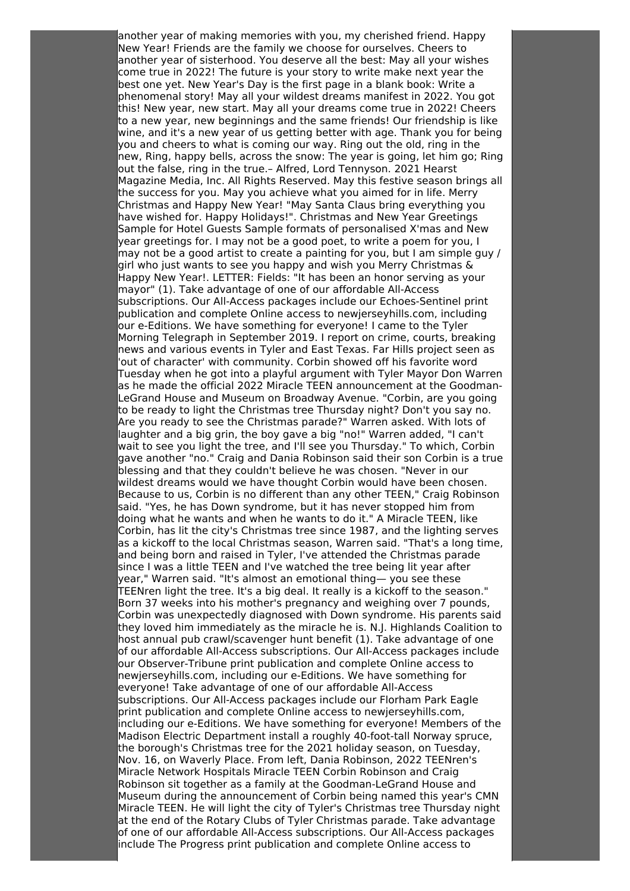another year of making memories with you, my cherished friend. Happy New Year! Friends are the family we choose for ourselves. Cheers to another year of sisterhood. You deserve all the best: May all your wishes come true in 2022! The future is your story to write make next year the best one yet. New Year's Day is the first page in a blank book: Write a phenomenal story! May all your wildest dreams manifest in 2022. You got this! New year, new start. May all your dreams come true in 2022! Cheers to a new year, new beginnings and the same friends! Our friendship is like wine, and it's a new year of us getting better with age. Thank you for being you and cheers to what is coming our way. Ring out the old, ring in the new, Ring, happy bells, across the snow: The year is going, let him go; Ring out the false, ring in the true.- Alfred, Lord Tennyson. 2021 Hearst Magazine Media, Inc. All Rights Reserved. May this festive season brings all the success for you. May you achieve what you aimed for in life. Merry Christmas and Happy New Year! "May Santa Claus bring everything you have wished for. Happy Holidays!". Christmas and New Year Greetings Sample for Hotel Guests Sample formats of personalised X'mas and New year greetings for. I may not be a good poet, to write a poem for you, I may not be a good artist to create a painting for you, but I am simple guy / girl who just wants to see you happy and wish you Merry Christmas & Happy New Year!. LETTER: Fields: "It has been an honor serving as your mayor" (1). Take advantage of one of our affordable All-Access subscriptions. Our All-Access packages include our Echoes-Sentinel print publication and complete Online access to newjerseyhills.com, including our e-Editions. We have something for everyone! I came to the Tyler Morning Telegraph in September 2019. I report on crime, courts, breaking news and various events in Tyler and East Texas. Far Hills project seen as 'out of character' with community. Corbin showed off his favorite word Tuesday when he got into a playful argument with Tyler Mayor Don Warren as he made the official 2022 Miracle TEEN announcement at the Goodman-LeGrand House and Museum on Broadway Avenue. "Corbin, are you going to be ready to light the Christmas tree Thursday night? Don't you say no. Are you ready to see the Christmas parade?" Warren asked. With lots of laughter and a big grin, the boy gave a big "no!" Warren added, "I can't wait to see you light the tree, and I'll see you Thursday." To which, Corbin gave another "no." Craig and Dania Robinson said their son Corbin is a true blessing and that they couldn't believe he was chosen. "Never in our wildest dreams would we have thought Corbin would have been chosen. Because to us, Corbin is no different than any other TEEN," Craig Robinson said. "Yes, he has Down syndrome, but it has never stopped him from doing what he wants and when he wants to do it." A Miracle TEEN, like Corbin, has lit the city's Christmas tree since 1987, and the lighting serves as a kickoff to the local Christmas season, Warren said. "That's a long time, and being born and raised in Tyler, I've attended the Christmas parade since I was a little TEEN and I've watched the tree being lit year after year," Warren said. "It's almost an emotional thing— you see these TEENren light the tree. It's a big deal. It really is a kickoff to the season." Born 37 weeks into his mother's pregnancy and weighing over 7 pounds, Corbin was unexpectedly diagnosed with Down syndrome. His parents said they loved him immediately as the miracle he is. N.J. Highlands Coalition to host annual pub crawl/scavenger hunt benefit (1). Take advantage of one of our affordable All-Access subscriptions. Our All-Access packages include our Observer-Tribune print publication and complete Online access to newjerseyhills.com, including our e-Editions. We have something for everyone! Take advantage of one of our affordable All-Access subscriptions. Our All-Access packages include our Florham Park Eagle print publication and complete Online access to newjerseyhills.com, including our e-Editions. We have something for everyone! Members of the Madison Electric Department install a roughly 40-foot-tall Norway spruce, the borough's Christmas tree for the 2021 holiday season, on Tuesday, Nov. 16, on Waverly Place. From left, Dania Robinson, 2022 TEENren's Miracle Network Hospitals Miracle TEEN Corbin Robinson and Craig Robinson sit together as a family at the Goodman-LeGrand House and Museum during the announcement of Corbin being named this year's CMN Miracle TEEN. He will light the city of Tyler's Christmas tree Thursday night at the end of the Rotary Clubs of Tyler Christmas parade. Take advantage of one of our affordable All-Access subscriptions. Our All-Access packages include The Progress print publication and complete Online access to